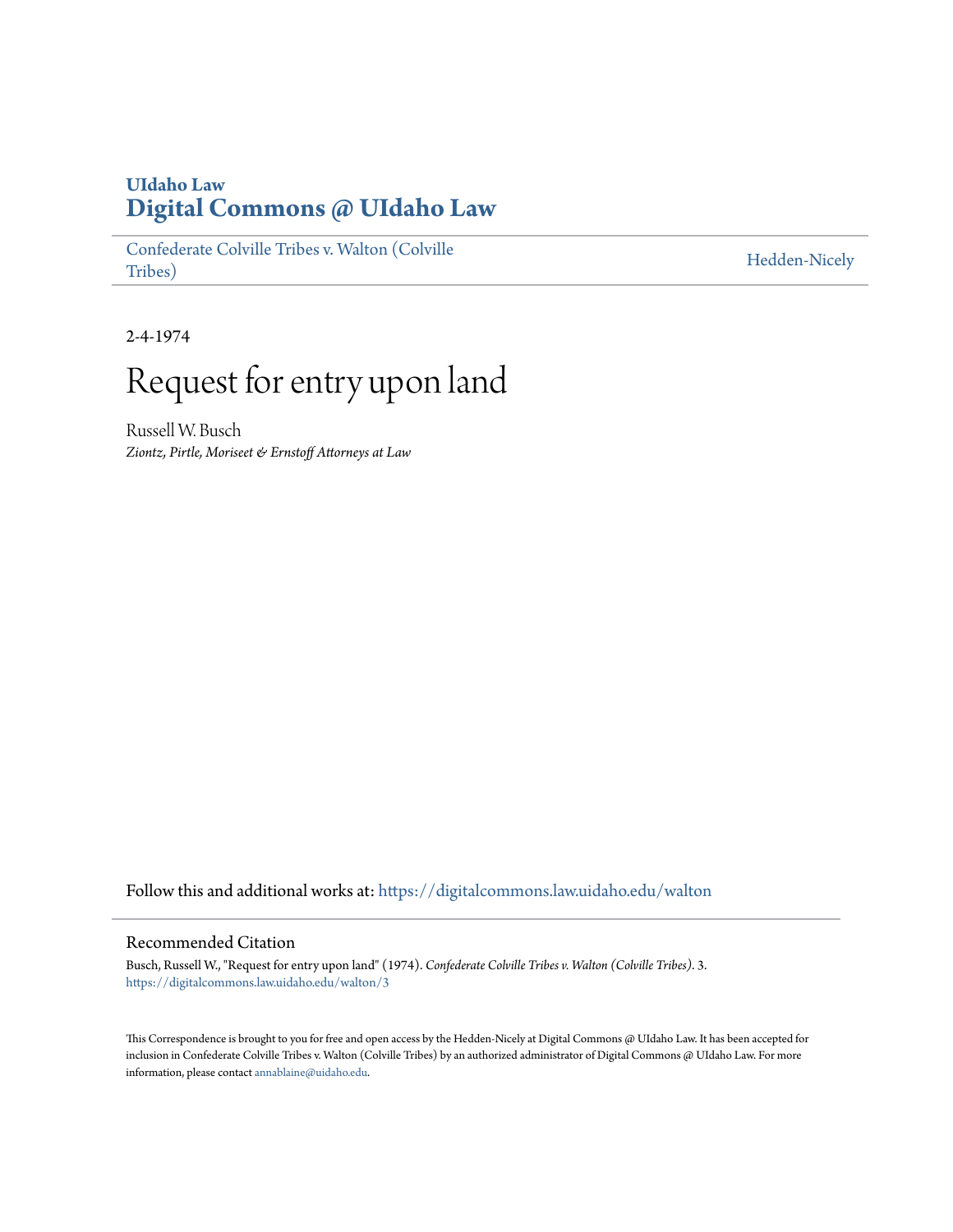## **UIdaho Law [Digital Commons @ UIdaho Law](https://digitalcommons.law.uidaho.edu?utm_source=digitalcommons.law.uidaho.edu%2Fwalton%2F3&utm_medium=PDF&utm_campaign=PDFCoverPages)**

[Confederate Colville Tribes v. Walton \(Colville](https://digitalcommons.law.uidaho.edu/walton?utm_source=digitalcommons.law.uidaho.edu%2Fwalton%2F3&utm_medium=PDF&utm_campaign=PDFCoverPages) [Tribes\)](https://digitalcommons.law.uidaho.edu/walton?utm_source=digitalcommons.law.uidaho.edu%2Fwalton%2F3&utm_medium=PDF&utm_campaign=PDFCoverPages)

[Hedden-Nicely](https://digitalcommons.law.uidaho.edu/hedden-nicely?utm_source=digitalcommons.law.uidaho.edu%2Fwalton%2F3&utm_medium=PDF&utm_campaign=PDFCoverPages)

2-4-1974

## Request for entry upon land

Russell W. Busch *Ziontz, Pirtle, Moriseet & Ernstoff Attorneys at Law*

Follow this and additional works at: [https://digitalcommons.law.uidaho.edu/walton](https://digitalcommons.law.uidaho.edu/walton?utm_source=digitalcommons.law.uidaho.edu%2Fwalton%2F3&utm_medium=PDF&utm_campaign=PDFCoverPages)

## Recommended Citation

Busch, Russell W., "Request for entry upon land" (1974). *Confederate Colville Tribes v. Walton (Colville Tribes)*. 3. [https://digitalcommons.law.uidaho.edu/walton/3](https://digitalcommons.law.uidaho.edu/walton/3?utm_source=digitalcommons.law.uidaho.edu%2Fwalton%2F3&utm_medium=PDF&utm_campaign=PDFCoverPages)

This Correspondence is brought to you for free and open access by the Hedden-Nicely at Digital Commons @ UIdaho Law. It has been accepted for inclusion in Confederate Colville Tribes v. Walton (Colville Tribes) by an authorized administrator of Digital Commons @ UIdaho Law. For more information, please contact [annablaine@uidaho.edu](mailto:annablaine@uidaho.edu).